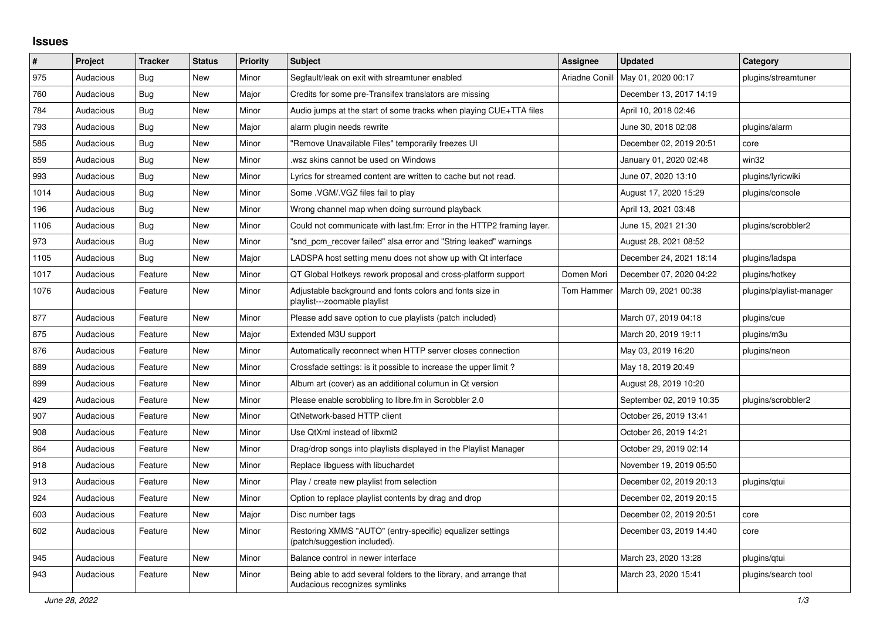## **Issues**

| ∦    | Project   | <b>Tracker</b> | <b>Status</b> | <b>Priority</b> | <b>Subject</b>                                                                                      | <b>Assignee</b> | <b>Updated</b>           | Category                 |
|------|-----------|----------------|---------------|-----------------|-----------------------------------------------------------------------------------------------------|-----------------|--------------------------|--------------------------|
| 975  | Audacious | Bug            | <b>New</b>    | Minor           | Segfault/leak on exit with streamtuner enabled                                                      | Ariadne Conill  | May 01, 2020 00:17       | plugins/streamtuner      |
| 760  | Audacious | Bug            | <b>New</b>    | Major           | Credits for some pre-Transifex translators are missing                                              |                 | December 13, 2017 14:19  |                          |
| 784  | Audacious | <b>Bug</b>     | <b>New</b>    | Minor           | Audio jumps at the start of some tracks when playing CUE+TTA files                                  |                 | April 10, 2018 02:46     |                          |
| 793  | Audacious | Bug            | New           | Major           | alarm plugin needs rewrite                                                                          |                 | June 30, 2018 02:08      | plugins/alarm            |
| 585  | Audacious | Bug            | <b>New</b>    | Minor           | "Remove Unavailable Files" temporarily freezes UI                                                   |                 | December 02, 2019 20:51  | core                     |
| 859  | Audacious | Bug            | <b>New</b>    | Minor           | wsz skins cannot be used on Windows                                                                 |                 | January 01, 2020 02:48   | win32                    |
| 993  | Audacious | <b>Bug</b>     | <b>New</b>    | Minor           | Lyrics for streamed content are written to cache but not read.                                      |                 | June 07, 2020 13:10      | plugins/lyricwiki        |
| 1014 | Audacious | Bug            | New           | Minor           | Some .VGM/.VGZ files fail to play                                                                   |                 | August 17, 2020 15:29    | plugins/console          |
| 196  | Audacious | <b>Bug</b>     | <b>New</b>    | Minor           | Wrong channel map when doing surround playback                                                      |                 | April 13, 2021 03:48     |                          |
| 1106 | Audacious | <b>Bug</b>     | <b>New</b>    | Minor           | Could not communicate with last.fm: Error in the HTTP2 framing layer.                               |                 | June 15, 2021 21:30      | plugins/scrobbler2       |
| 973  | Audacious | Bug            | New           | Minor           | "snd pcm recover failed" alsa error and "String leaked" warnings                                    |                 | August 28, 2021 08:52    |                          |
| 1105 | Audacious | Bug            | <b>New</b>    | Major           | LADSPA host setting menu does not show up with Qt interface                                         |                 | December 24, 2021 18:14  | plugins/ladspa           |
| 1017 | Audacious | Feature        | <b>New</b>    | Minor           | QT Global Hotkeys rework proposal and cross-platform support                                        | Domen Mori      | December 07, 2020 04:22  | plugins/hotkey           |
| 1076 | Audacious | Feature        | New           | Minor           | Adjustable background and fonts colors and fonts size in<br>playlist---zoomable playlist            | Tom Hammer      | March 09, 2021 00:38     | plugins/playlist-manager |
| 877  | Audacious | Feature        | <b>New</b>    | Minor           | Please add save option to cue playlists (patch included)                                            |                 | March 07, 2019 04:18     | plugins/cue              |
| 875  | Audacious | Feature        | New           | Major           | Extended M3U support                                                                                |                 | March 20, 2019 19:11     | plugins/m3u              |
| 876  | Audacious | Feature        | <b>New</b>    | Minor           | Automatically reconnect when HTTP server closes connection                                          |                 | May 03, 2019 16:20       | plugins/neon             |
| 889  | Audacious | Feature        | New           | Minor           | Crossfade settings: is it possible to increase the upper limit?                                     |                 | May 18, 2019 20:49       |                          |
| 899  | Audacious | Feature        | <b>New</b>    | Minor           | Album art (cover) as an additional columun in Qt version                                            |                 | August 28, 2019 10:20    |                          |
| 429  | Audacious | Feature        | <b>New</b>    | Minor           | Please enable scrobbling to libre.fm in Scrobbler 2.0                                               |                 | September 02, 2019 10:35 | plugins/scrobbler2       |
| 907  | Audacious | Feature        | <b>New</b>    | Minor           | QtNetwork-based HTTP client                                                                         |                 | October 26, 2019 13:41   |                          |
| 908  | Audacious | Feature        | New           | Minor           | Use QtXml instead of libxml2                                                                        |                 | October 26, 2019 14:21   |                          |
| 864  | Audacious | Feature        | <b>New</b>    | Minor           | Drag/drop songs into playlists displayed in the Playlist Manager                                    |                 | October 29, 2019 02:14   |                          |
| 918  | Audacious | Feature        | <b>New</b>    | Minor           | Replace libguess with libuchardet                                                                   |                 | November 19, 2019 05:50  |                          |
| 913  | Audacious | Feature        | <b>New</b>    | Minor           | Play / create new playlist from selection                                                           |                 | December 02, 2019 20:13  | plugins/gtui             |
| 924  | Audacious | Feature        | <b>New</b>    | Minor           | Option to replace playlist contents by drag and drop                                                |                 | December 02, 2019 20:15  |                          |
| 603  | Audacious | Feature        | <b>New</b>    | Major           | Disc number tags                                                                                    |                 | December 02, 2019 20:51  | core                     |
| 602  | Audacious | Feature        | New           | Minor           | Restoring XMMS "AUTO" (entry-specific) equalizer settings<br>(patch/suggestion included).           |                 | December 03, 2019 14:40  | core                     |
| 945  | Audacious | Feature        | <b>New</b>    | Minor           | Balance control in newer interface                                                                  |                 | March 23, 2020 13:28     | plugins/gtui             |
| 943  | Audacious | Feature        | <b>New</b>    | Minor           | Being able to add several folders to the library, and arrange that<br>Audacious recognizes symlinks |                 | March 23, 2020 15:41     | plugins/search tool      |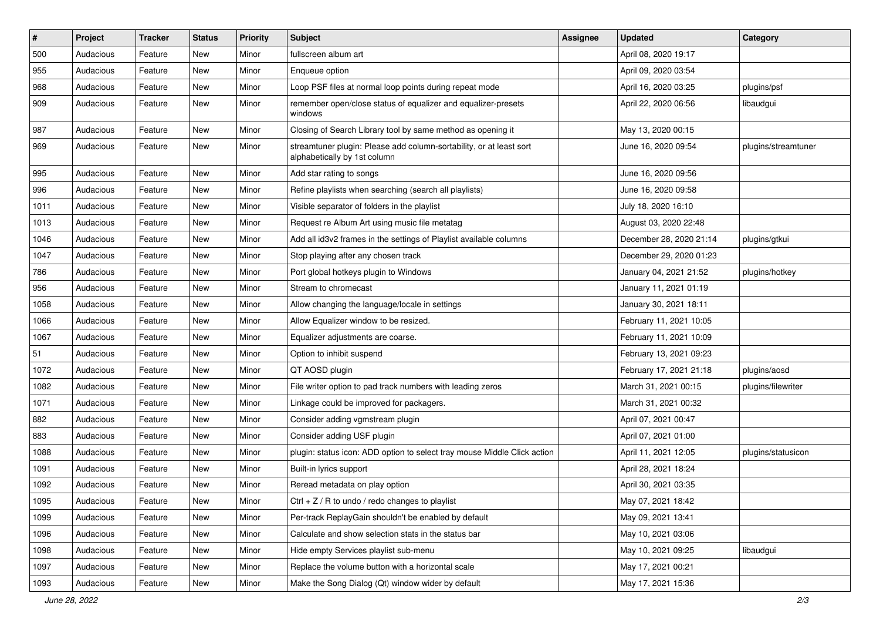| $\vert$ # | Project   | Tracker | <b>Status</b> | <b>Priority</b> | <b>Subject</b>                                                                                      | <b>Assignee</b> | <b>Updated</b>          | Category            |
|-----------|-----------|---------|---------------|-----------------|-----------------------------------------------------------------------------------------------------|-----------------|-------------------------|---------------------|
| 500       | Audacious | Feature | New           | Minor           | fullscreen album art                                                                                |                 | April 08, 2020 19:17    |                     |
| 955       | Audacious | Feature | <b>New</b>    | Minor           | Enqueue option                                                                                      |                 | April 09, 2020 03:54    |                     |
| 968       | Audacious | Feature | New           | Minor           | Loop PSF files at normal loop points during repeat mode                                             |                 | April 16, 2020 03:25    | plugins/psf         |
| 909       | Audacious | Feature | New           | Minor           | remember open/close status of equalizer and equalizer-presets<br>windows                            |                 | April 22, 2020 06:56    | libaudgui           |
| 987       | Audacious | Feature | New           | Minor           | Closing of Search Library tool by same method as opening it                                         |                 | May 13, 2020 00:15      |                     |
| 969       | Audacious | Feature | <b>New</b>    | Minor           | streamtuner plugin: Please add column-sortability, or at least sort<br>alphabetically by 1st column |                 | June 16, 2020 09:54     | plugins/streamtuner |
| 995       | Audacious | Feature | <b>New</b>    | Minor           | Add star rating to songs                                                                            |                 | June 16, 2020 09:56     |                     |
| 996       | Audacious | Feature | <b>New</b>    | Minor           | Refine playlists when searching (search all playlists)                                              |                 | June 16, 2020 09:58     |                     |
| 1011      | Audacious | Feature | New           | Minor           | Visible separator of folders in the playlist                                                        |                 | July 18, 2020 16:10     |                     |
| 1013      | Audacious | Feature | New           | Minor           | Request re Album Art using music file metatag                                                       |                 | August 03, 2020 22:48   |                     |
| 1046      | Audacious | Feature | New           | Minor           | Add all id3v2 frames in the settings of Playlist available columns                                  |                 | December 28, 2020 21:14 | plugins/gtkui       |
| 1047      | Audacious | Feature | New           | Minor           | Stop playing after any chosen track                                                                 |                 | December 29, 2020 01:23 |                     |
| 786       | Audacious | Feature | <b>New</b>    | Minor           | Port global hotkeys plugin to Windows                                                               |                 | January 04, 2021 21:52  | plugins/hotkey      |
| 956       | Audacious | Feature | New           | Minor           | Stream to chromecast                                                                                |                 | January 11, 2021 01:19  |                     |
| 1058      | Audacious | Feature | New           | Minor           | Allow changing the language/locale in settings                                                      |                 | January 30, 2021 18:11  |                     |
| 1066      | Audacious | Feature | New           | Minor           | Allow Equalizer window to be resized.                                                               |                 | February 11, 2021 10:05 |                     |
| 1067      | Audacious | Feature | New           | Minor           | Equalizer adjustments are coarse.                                                                   |                 | February 11, 2021 10:09 |                     |
| 51        | Audacious | Feature | New           | Minor           | Option to inhibit suspend                                                                           |                 | February 13, 2021 09:23 |                     |
| 1072      | Audacious | Feature | New           | Minor           | QT AOSD plugin                                                                                      |                 | February 17, 2021 21:18 | plugins/aosd        |
| 1082      | Audacious | Feature | New           | Minor           | File writer option to pad track numbers with leading zeros                                          |                 | March 31, 2021 00:15    | plugins/filewriter  |
| 1071      | Audacious | Feature | New           | Minor           | Linkage could be improved for packagers.                                                            |                 | March 31, 2021 00:32    |                     |
| 882       | Audacious | Feature | New           | Minor           | Consider adding vgmstream plugin                                                                    |                 | April 07, 2021 00:47    |                     |
| 883       | Audacious | Feature | New           | Minor           | Consider adding USF plugin                                                                          |                 | April 07, 2021 01:00    |                     |
| 1088      | Audacious | Feature | New           | Minor           | plugin: status icon: ADD option to select tray mouse Middle Click action                            |                 | April 11, 2021 12:05    | plugins/statusicon  |
| 1091      | Audacious | Feature | New           | Minor           | Built-in lyrics support                                                                             |                 | April 28, 2021 18:24    |                     |
| 1092      | Audacious | Feature | <b>New</b>    | Minor           | Reread metadata on play option                                                                      |                 | April 30, 2021 03:35    |                     |
| 1095      | Audacious | Feature | New           | Minor           | Ctrl + $Z$ / R to undo / redo changes to playlist                                                   |                 | May 07, 2021 18:42      |                     |
| 1099      | Audacious | Feature | New           | Minor           | Per-track ReplayGain shouldn't be enabled by default                                                |                 | May 09, 2021 13:41      |                     |
| 1096      | Audacious | Feature | New           | Minor           | Calculate and show selection stats in the status bar                                                |                 | May 10, 2021 03:06      |                     |
| 1098      | Audacious | Feature | New           | Minor           | Hide empty Services playlist sub-menu                                                               |                 | May 10, 2021 09:25      | libaudgui           |
| 1097      | Audacious | Feature | New           | Minor           | Replace the volume button with a horizontal scale                                                   |                 | May 17, 2021 00:21      |                     |
| 1093      | Audacious | Feature | New           | Minor           | Make the Song Dialog (Qt) window wider by default                                                   |                 | May 17, 2021 15:36      |                     |